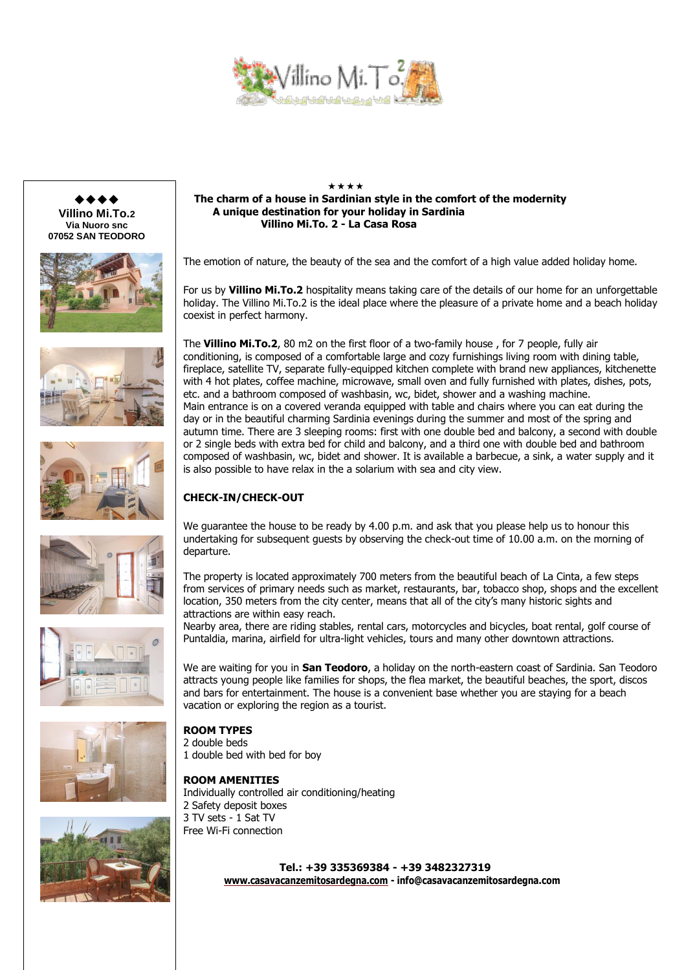







$$
\mathbf{P} = \mathbf{I} \mathbf{I}
$$









### \*\*\*\* **The charm of a house in Sardinian style in the comfort of the modernity A unique destination for your holiday in Sardinia Villino Mi.To. 2 - La Casa Rosa**

The emotion of nature, the beauty of the sea and the comfort of a high value added holiday home.

For us by **Villino Mi.To.2** hospitality means taking care of the details of our home for an unforgettable holiday. The Villino Mi.To.2 is the ideal place where the pleasure of a private home and a beach holiday coexist in perfect harmony.

The **Villino Mi.To.2**, 80 m2 on the first floor of a two-family house , for 7 people, fully air conditioning, is composed of a comfortable large and cozy furnishings living room with dining table, fireplace, satellite TV, separate fully-equipped kitchen complete with brand new appliances, kitchenette with 4 hot plates, coffee machine, microwave, small oven and fully furnished with plates, dishes, pots, etc. and a bathroom composed of washbasin, wc, bidet, shower and a washing machine. Main entrance is on a covered veranda equipped with table and chairs where you can eat during the day or in the beautiful charming Sardinia evenings during the summer and most of the spring and autumn time. There are 3 sleeping rooms: first with one double bed and balcony, a second with double or 2 single beds with extra bed for child and balcony, and a third one with double bed and bathroom composed of washbasin, wc, bidet and shower. It is available a barbecue, a sink, a water supply and it is also possible to have relax in the a solarium with sea and city view.

# **CHECK-IN/CHECK-OUT**

We quarantee the house to be ready by 4.00 p.m. and ask that you please help us to honour this undertaking for subsequent guests by observing the check-out time of 10.00 a.m. on the morning of departure.

The property is located approximately 700 meters from the beautiful beach of La Cinta, a few steps from services of primary needs such as market, restaurants, bar, tobacco shop, shops and the excellent location, 350 meters from the city center, means that all of the city's many historic sights and attractions are within easy reach.

Nearby area, there are riding stables, rental cars, motorcycles and bicycles, boat rental, golf course of Puntaldia, marina, airfield for ultra-light vehicles, tours and many other downtown attractions.

We are waiting for you in **San Teodoro**, a holiday on the north-eastern coast of Sardinia. San Teodoro attracts young people like families for shops, the flea market, the beautiful beaches, the sport, discos and bars for entertainment. The house is a convenient base whether you are staying for a beach vacation or exploring the region as a tourist.

# **ROOM TYPES**

- 2 double beds
- 1 double bed with bed for boy

### **ROOM AMENITIES**

Individually controlled air conditioning/heating 2 Safety deposit boxes 3 TV sets - 1 Sat TV Free Wi-Fi connection

> **Tel.: +39 335369384 - +39 3482327319 [www.casavacanzemitosardegna.com](http://www.sanlucapalace.com/) - info@casavacanzemitosardegna.com**